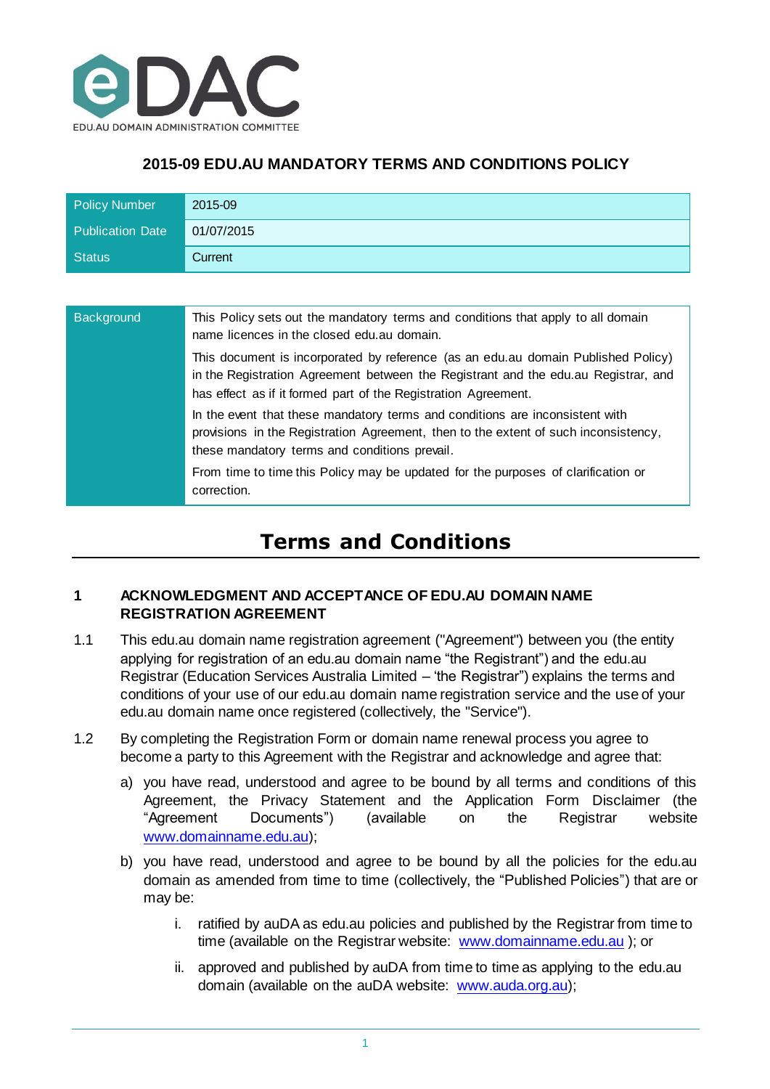

# **2015-09 EDU.AU MANDATORY TERMS AND CONDITIONS POLICY**

| <b>Policy Number</b>    | 2015-09    |
|-------------------------|------------|
| <b>Publication Date</b> | 01/07/2015 |
| <b>Status</b>           | Current    |

| <b>Background</b> | This Policy sets out the mandatory terms and conditions that apply to all domain<br>name licences in the closed edu.au domain.                                                                                                            |
|-------------------|-------------------------------------------------------------------------------------------------------------------------------------------------------------------------------------------------------------------------------------------|
|                   | This document is incorporated by reference (as an edu.au domain Published Policy)<br>in the Registration Agreement between the Registrant and the edu.au Registrar, and<br>has effect as if it formed part of the Registration Agreement. |
|                   | In the event that these mandatory terms and conditions are inconsistent with<br>provisions in the Registration Agreement, then to the extent of such inconsistency,<br>these mandatory terms and conditions prevail.                      |
|                   | From time to time this Policy may be updated for the purposes of clarification or<br>correction.                                                                                                                                          |

# **Terms and Conditions**

# **1 ACKNOWLEDGMENT AND ACCEPTANCE OF EDU.AU DOMAIN NAME REGISTRATION AGREEMENT**

- 1.1 This edu.au domain name registration agreement ("Agreement") between you (the entity applying for registration of an edu.au domain name "the Registrant") and the edu.au Registrar (Education Services Australia Limited – 'the Registrar") explains the terms and conditions of your use of our edu.au domain name registration service and the use of your edu.au domain name once registered (collectively, the "Service").
- 1.2 By completing the Registration Form or domain name renewal process you agree to become a party to this Agreement with the Registrar and acknowledge and agree that:
	- a) you have read, understood and agree to be bound by all terms and conditions of this Agreement, the Privacy Statement and the Application Form Disclaimer (the "Agreement Documents") (available on the Registrar website [www.domainname.edu.au\)](http://www.domainname.edu.au/);
	- b) you have read, understood and agree to be bound by all the policies for the edu.au domain as amended from time to time (collectively, the "Published Policies") that are or may be:
		- i. ratified by auDA as edu.au policies and published by the Registrar from time to time (available on the Registrar website: [www.domainname.edu.au](http://www.domainname.edu.au/) ); or
		- ii. approved and published by auDA from time to time as applying to the edu.au domain (available on the auDA website: [www.auda.org.au\)](http://www.auda.org.au/);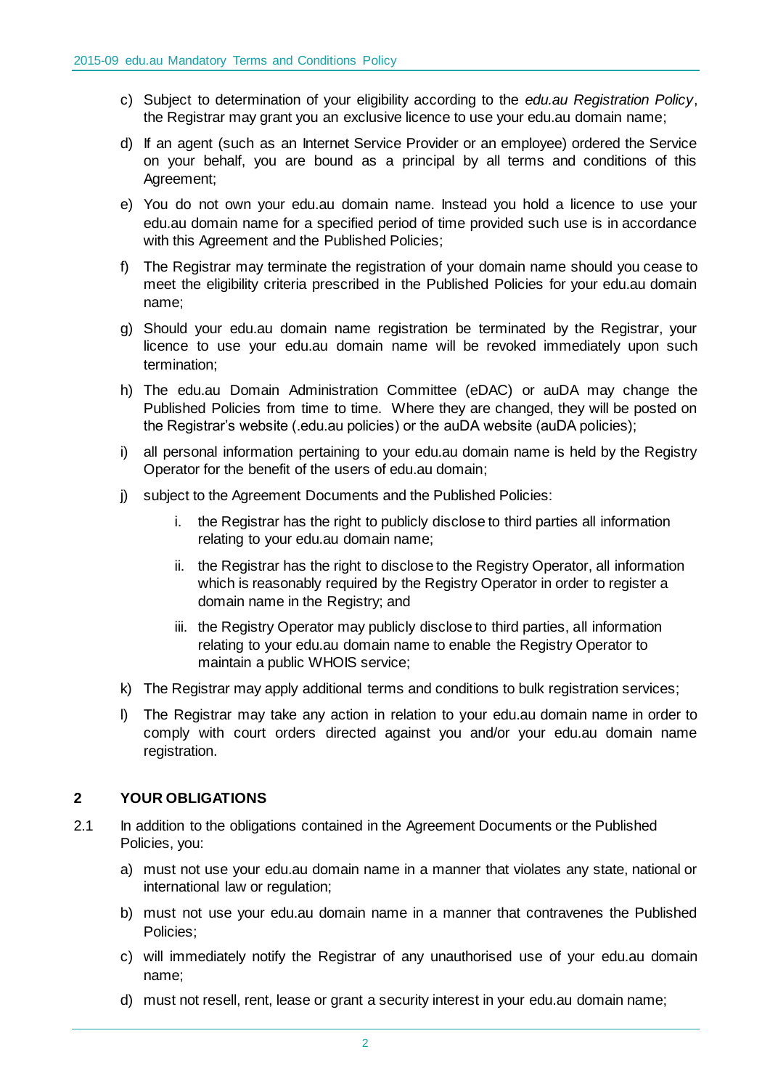- c) Subject to determination of your eligibility according to the *edu.au Registration Policy*, the Registrar may grant you an exclusive licence to use your edu.au domain name;
- d) If an agent (such as an Internet Service Provider or an employee) ordered the Service on your behalf, you are bound as a principal by all terms and conditions of this Agreement;
- e) You do not own your edu.au domain name. Instead you hold a licence to use your edu.au domain name for a specified period of time provided such use is in accordance with this Agreement and the Published Policies;
- f) The Registrar may terminate the registration of your domain name should you cease to meet the eligibility criteria prescribed in the Published Policies for your edu.au domain name;
- g) Should your edu.au domain name registration be terminated by the Registrar, your licence to use your edu.au domain name will be revoked immediately upon such termination;
- h) The edu.au Domain Administration Committee (eDAC) or auDA may change the Published Policies from time to time. Where they are changed, they will be posted on the Registrar's website (.edu.au policies) or the auDA website (auDA policies);
- i) all personal information pertaining to your edu.au domain name is held by the Registry Operator for the benefit of the users of edu.au domain;
- j) subject to the Agreement Documents and the Published Policies:
	- i. the Registrar has the right to publicly disclose to third parties all information relating to your edu.au domain name;
	- ii. the Registrar has the right to disclose to the Registry Operator, all information which is reasonably required by the Registry Operator in order to register a domain name in the Registry; and
	- iii. the Registry Operator may publicly disclose to third parties, all information relating to your edu.au domain name to enable the Registry Operator to maintain a public WHOIS service;
- k) The Registrar may apply additional terms and conditions to bulk registration services;
- l) The Registrar may take any action in relation to your edu.au domain name in order to comply with court orders directed against you and/or your edu.au domain name registration.

#### **2 YOUR OBLIGATIONS**

- 2.1 In addition to the obligations contained in the Agreement Documents or the Published Policies, you:
	- a) must not use your edu.au domain name in a manner that violates any state, national or international law or regulation;
	- b) must not use your edu.au domain name in a manner that contravenes the Published Policies;
	- c) will immediately notify the Registrar of any unauthorised use of your edu.au domain name;
	- d) must not resell, rent, lease or grant a security interest in your edu.au domain name;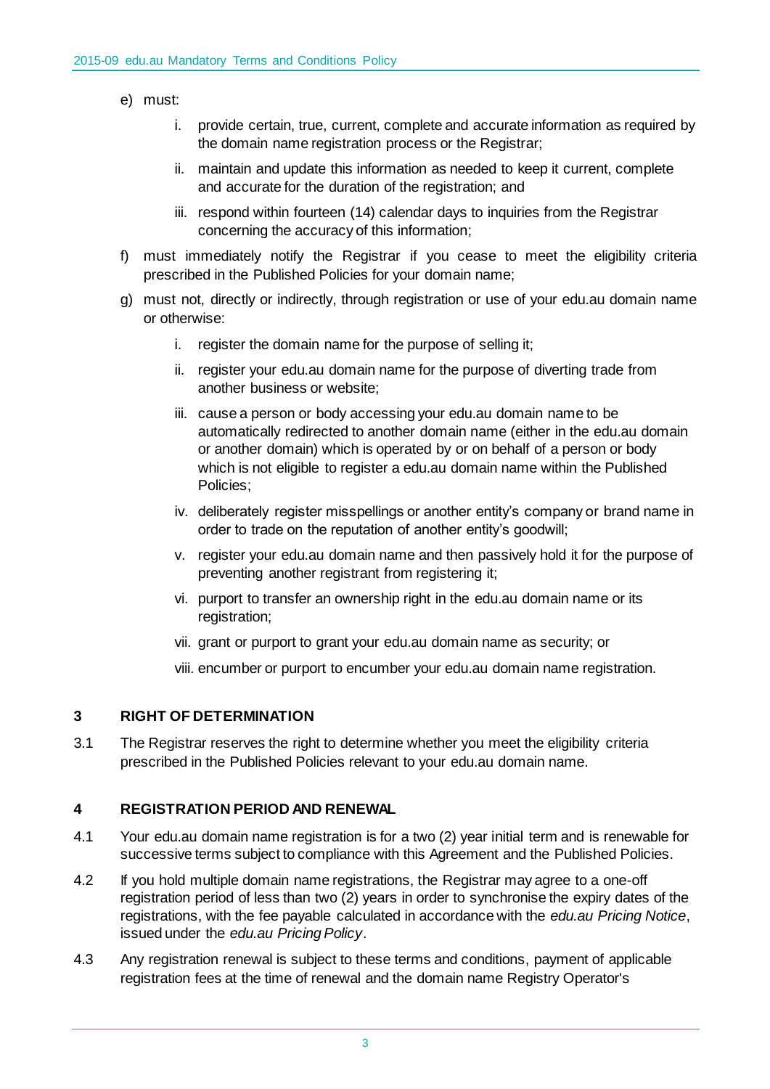- e) must:
	- i. provide certain, true, current, complete and accurate information as required by the domain name registration process or the Registrar;
	- ii. maintain and update this information as needed to keep it current, complete and accurate for the duration of the registration; and
	- iii. respond within fourteen (14) calendar days to inquiries from the Registrar concerning the accuracy of this information;
- f) must immediately notify the Registrar if you cease to meet the eligibility criteria prescribed in the Published Policies for your domain name;
- g) must not, directly or indirectly, through registration or use of your edu.au domain name or otherwise:
	- i. register the domain name for the purpose of selling it;
	- ii. register your edu.au domain name for the purpose of diverting trade from another business or website;
	- iii. cause a person or body accessing your edu.au domain name to be automatically redirected to another domain name (either in the edu.au domain or another domain) which is operated by or on behalf of a person or body which is not eligible to register a edu.au domain name within the Published Policies;
	- iv. deliberately register misspellings or another entity's company or brand name in order to trade on the reputation of another entity's goodwill;
	- v. register your edu.au domain name and then passively hold it for the purpose of preventing another registrant from registering it;
	- vi. purport to transfer an ownership right in the edu.au domain name or its registration;
	- vii. grant or purport to grant your edu.au domain name as security; or
	- viii. encumber or purport to encumber your edu.au domain name registration.

#### **3 RIGHT OF DETERMINATION**

3.1 The Registrar reserves the right to determine whether you meet the eligibility criteria prescribed in the Published Policies relevant to your edu.au domain name.

#### **4 REGISTRATION PERIOD AND RENEWAL**

- 4.1 Your edu.au domain name registration is for a two (2) year initial term and is renewable for successive terms subject to compliance with this Agreement and the Published Policies.
- 4.2 If you hold multiple domain name registrations, the Registrar may agree to a one-off registration period of less than two (2) years in order to synchronise the expiry dates of the registrations, with the fee payable calculated in accordance with the *edu.au Pricing Notice*, issued under the *edu.au Pricing Policy*.
- 4.3 Any registration renewal is subject to these terms and conditions, payment of applicable registration fees at the time of renewal and the domain name Registry Operator's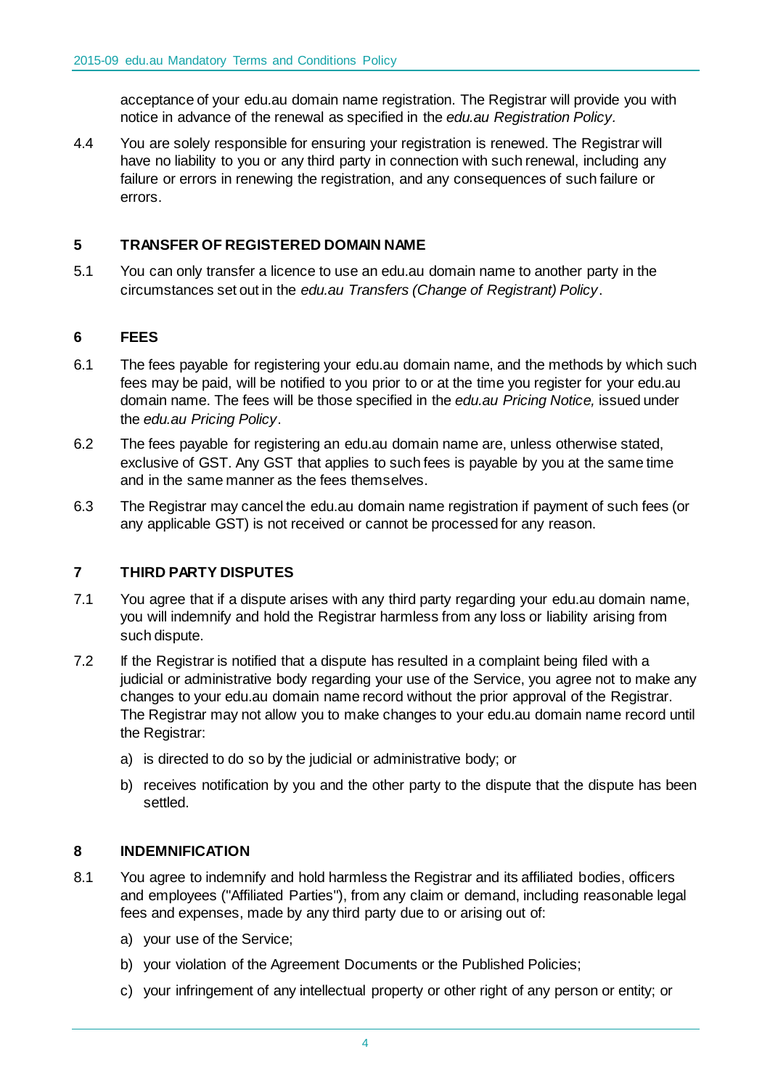acceptance of your edu.au domain name registration. The Registrar will provide you with notice in advance of the renewal as specified in the *edu.au Registration Policy.*

4.4 You are solely responsible for ensuring your registration is renewed. The Registrar will have no liability to you or any third party in connection with such renewal, including any failure or errors in renewing the registration, and any consequences of such failure or errors.

#### **5 TRANSFER OF REGISTERED DOMAIN NAME**

5.1 You can only transfer a licence to use an edu.au domain name to another party in the circumstances set out in the *edu.au Transfers (Change of Registrant) Policy*.

# **6 FEES**

- 6.1 The fees payable for registering your edu.au domain name, and the methods by which such fees may be paid, will be notified to you prior to or at the time you register for your edu.au domain name. The fees will be those specified in the *edu.au Pricing Notice,* issued under the *edu.au Pricing Policy*.
- 6.2 The fees payable for registering an edu.au domain name are, unless otherwise stated, exclusive of GST. Any GST that applies to such fees is payable by you at the same time and in the same manner as the fees themselves.
- 6.3 The Registrar may cancel the edu.au domain name registration if payment of such fees (or any applicable GST) is not received or cannot be processed for any reason.

#### **7 THIRD PARTY DISPUTES**

- 7.1 You agree that if a dispute arises with any third party regarding your edu.au domain name, you will indemnify and hold the Registrar harmless from any loss or liability arising from such dispute.
- 7.2 If the Registrar is notified that a dispute has resulted in a complaint being filed with a judicial or administrative body regarding your use of the Service, you agree not to make any changes to your edu.au domain name record without the prior approval of the Registrar. The Registrar may not allow you to make changes to your edu.au domain name record until the Registrar:
	- a) is directed to do so by the judicial or administrative body; or
	- b) receives notification by you and the other party to the dispute that the dispute has been settled.

#### **8 INDEMNIFICATION**

- 8.1 You agree to indemnify and hold harmless the Registrar and its affiliated bodies, officers and employees ("Affiliated Parties"), from any claim or demand, including reasonable legal fees and expenses, made by any third party due to or arising out of:
	- a) your use of the Service;
	- b) your violation of the Agreement Documents or the Published Policies;
	- c) your infringement of any intellectual property or other right of any person or entity; or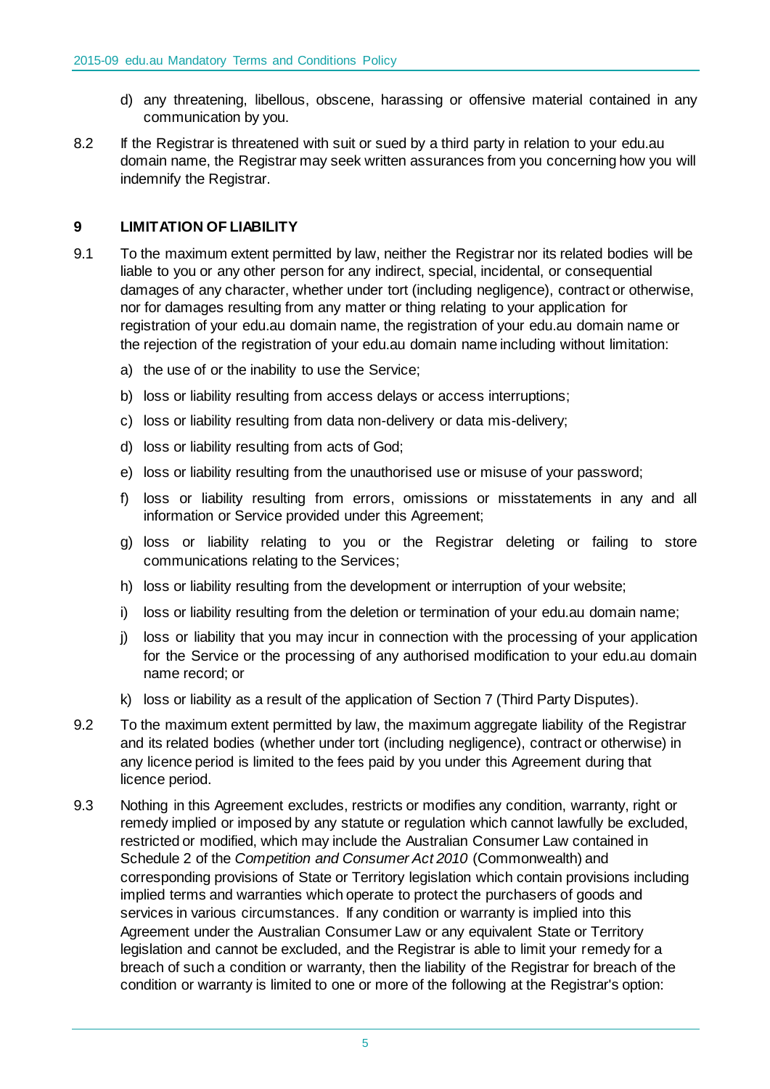- d) any threatening, libellous, obscene, harassing or offensive material contained in any communication by you.
- 8.2 If the Registrar is threatened with suit or sued by a third party in relation to your edu.au domain name, the Registrar may seek written assurances from you concerning how you will indemnify the Registrar.

# **9 LIMITATION OF LIABILITY**

- 9.1 To the maximum extent permitted by law, neither the Registrar nor its related bodies will be liable to you or any other person for any indirect, special, incidental, or consequential damages of any character, whether under tort (including negligence), contract or otherwise, nor for damages resulting from any matter or thing relating to your application for registration of your edu.au domain name, the registration of your edu.au domain name or the rejection of the registration of your edu.au domain name including without limitation:
	- a) the use of or the inability to use the Service;
	- b) loss or liability resulting from access delays or access interruptions;
	- c) loss or liability resulting from data non-delivery or data mis-delivery;
	- d) loss or liability resulting from acts of God;
	- e) loss or liability resulting from the unauthorised use or misuse of your password;
	- f) loss or liability resulting from errors, omissions or misstatements in any and all information or Service provided under this Agreement;
	- g) loss or liability relating to you or the Registrar deleting or failing to store communications relating to the Services;
	- h) loss or liability resulting from the development or interruption of your website;
	- i) loss or liability resulting from the deletion or termination of your edu.au domain name;
	- j) loss or liability that you may incur in connection with the processing of your application for the Service or the processing of any authorised modification to your edu.au domain name record; or
	- k) loss or liability as a result of the application of Section 7 (Third Party Disputes).
- 9.2 To the maximum extent permitted by law, the maximum aggregate liability of the Registrar and its related bodies (whether under tort (including negligence), contract or otherwise) in any licence period is limited to the fees paid by you under this Agreement during that licence period.
- 9.3 Nothing in this Agreement excludes, restricts or modifies any condition, warranty, right or remedy implied or imposed by any statute or regulation which cannot lawfully be excluded, restricted or modified, which may include the Australian Consumer Law contained in Schedule 2 of the *Competition and Consumer Act 2010* (Commonwealth) and corresponding provisions of State or Territory legislation which contain provisions including implied terms and warranties which operate to protect the purchasers of goods and services in various circumstances. If any condition or warranty is implied into this Agreement under the Australian Consumer Law or any equivalent State or Territory legislation and cannot be excluded, and the Registrar is able to limit your remedy for a breach of such a condition or warranty, then the liability of the Registrar for breach of the condition or warranty is limited to one or more of the following at the Registrar's option: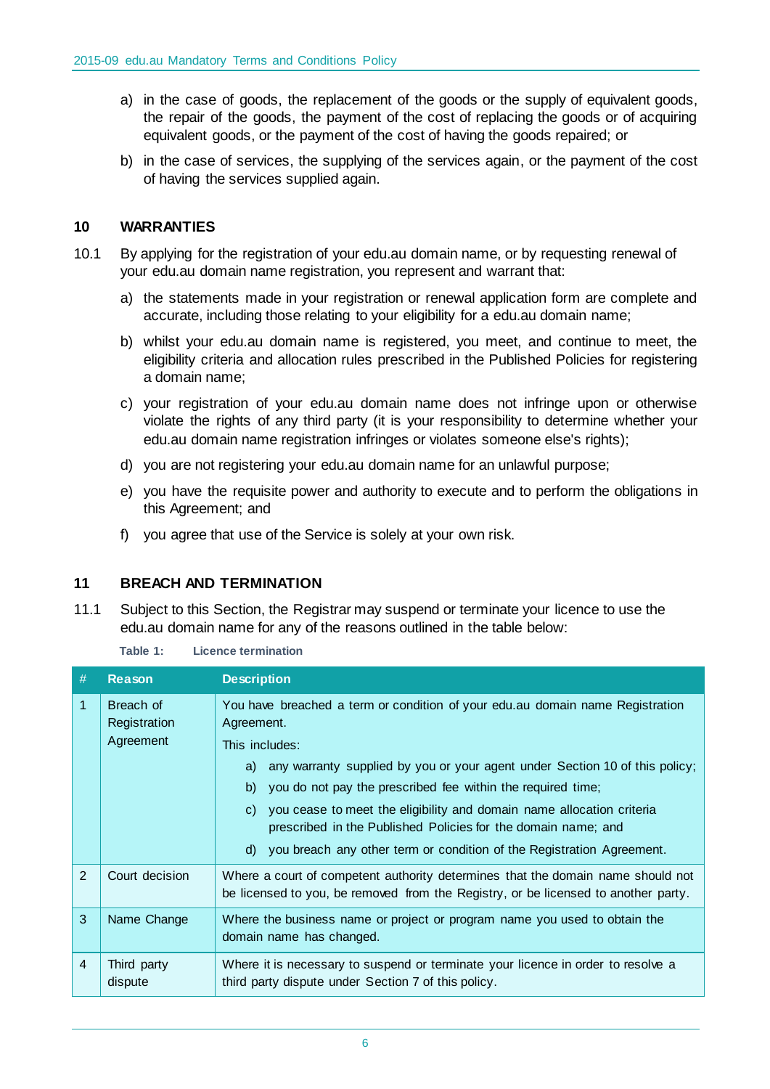- a) in the case of goods, the replacement of the goods or the supply of equivalent goods, the repair of the goods, the payment of the cost of replacing the goods or of acquiring equivalent goods, or the payment of the cost of having the goods repaired; or
- b) in the case of services, the supplying of the services again, or the payment of the cost of having the services supplied again.

#### **10 WARRANTIES**

- 10.1 By applying for the registration of your edu.au domain name, or by requesting renewal of your edu.au domain name registration, you represent and warrant that:
	- a) the statements made in your registration or renewal application form are complete and accurate, including those relating to your eligibility for a edu.au domain name;
	- b) whilst your edu.au domain name is registered, you meet, and continue to meet, the eligibility criteria and allocation rules prescribed in the Published Policies for registering a domain name;
	- c) your registration of your edu.au domain name does not infringe upon or otherwise violate the rights of any third party (it is your responsibility to determine whether your edu.au domain name registration infringes or violates someone else's rights);
	- d) you are not registering your edu.au domain name for an unlawful purpose;
	- e) you have the requisite power and authority to execute and to perform the obligations in this Agreement; and
	- f) you agree that use of the Service is solely at your own risk.

#### **11 BREACH AND TERMINATION**

11.1 Subject to this Section, the Registrar may suspend or terminate your licence to use the edu.au domain name for any of the reasons outlined in the table below:

**Table 1: Licence termination**

| #              | <b>Reason</b>                          | <b>Description</b>                                                                                                                                                                                                                                                                                                                                                                                                                                                                                     |
|----------------|----------------------------------------|--------------------------------------------------------------------------------------------------------------------------------------------------------------------------------------------------------------------------------------------------------------------------------------------------------------------------------------------------------------------------------------------------------------------------------------------------------------------------------------------------------|
| 1              | Breach of<br>Registration<br>Agreement | You have breached a term or condition of your edu.au domain name Registration<br>Agreement.<br>This includes:<br>any warranty supplied by you or your agent under Section 10 of this policy;<br>a)<br>you do not pay the prescribed fee within the required time;<br>b)<br>you cease to meet the eligibility and domain name allocation criteria<br>C)<br>prescribed in the Published Policies for the domain name; and<br>you breach any other term or condition of the Registration Agreement.<br>d) |
| 2              | Court decision                         | Where a court of competent authority determines that the domain name should not<br>be licensed to you, be removed from the Registry, or be licensed to another party.                                                                                                                                                                                                                                                                                                                                  |
| 3              | Name Change                            | Where the business name or project or program name you used to obtain the<br>domain name has changed.                                                                                                                                                                                                                                                                                                                                                                                                  |
| $\overline{4}$ | Third party<br>dispute                 | Where it is necessary to suspend or terminate your licence in order to resolve a<br>third party dispute under Section 7 of this policy.                                                                                                                                                                                                                                                                                                                                                                |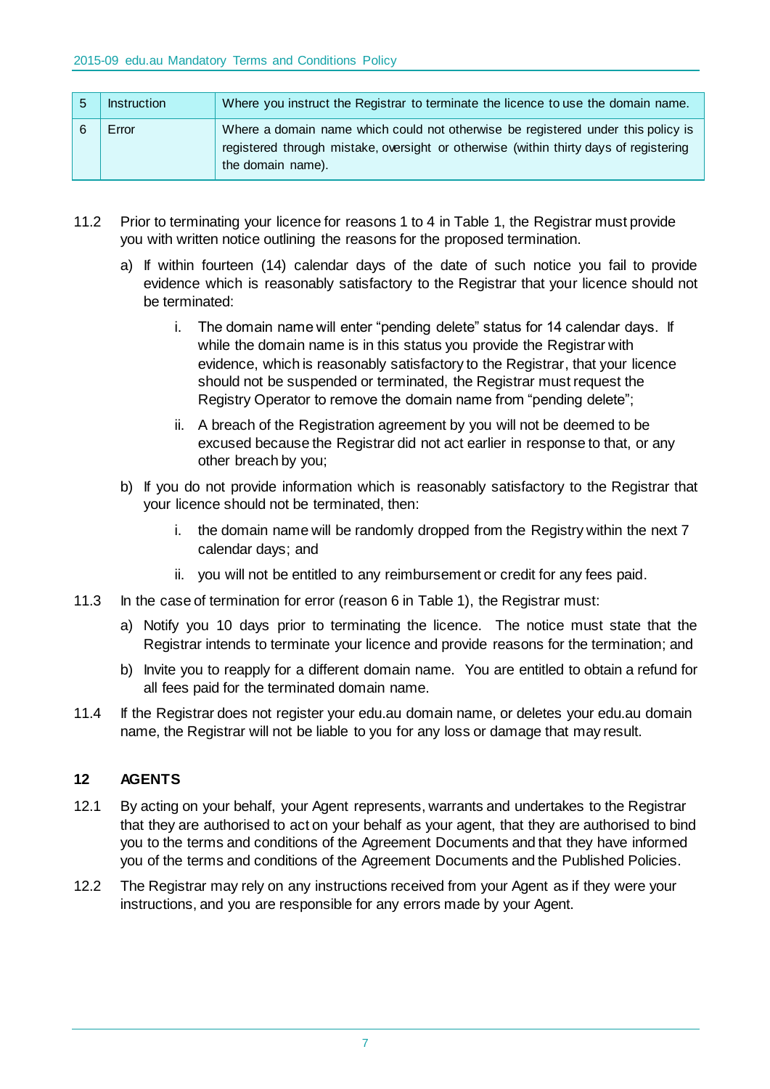| <b>Instruction</b> | Where you instruct the Registrar to terminate the licence to use the domain name.                                                                                                              |
|--------------------|------------------------------------------------------------------------------------------------------------------------------------------------------------------------------------------------|
| Error              | Where a domain name which could not otherwise be registered under this policy is<br>registered through mistake, oversight or otherwise (within thirty days of registering<br>the domain name). |

- 11.2 Prior to terminating your licence for reasons 1 to 4 in Table 1, the Registrar must provide you with written notice outlining the reasons for the proposed termination.
	- a) If within fourteen (14) calendar days of the date of such notice you fail to provide evidence which is reasonably satisfactory to the Registrar that your licence should not be terminated:
		- i. The domain name will enter "pending delete" status for 14 calendar days. If while the domain name is in this status you provide the Registrar with evidence, which is reasonably satisfactory to the Registrar, that your licence should not be suspended or terminated, the Registrar must request the Registry Operator to remove the domain name from "pending delete";
		- ii. A breach of the Registration agreement by you will not be deemed to be excused because the Registrar did not act earlier in response to that, or any other breach by you;
	- b) If you do not provide information which is reasonably satisfactory to the Registrar that your licence should not be terminated, then:
		- i. the domain name will be randomly dropped from the Registry within the next 7 calendar days; and
		- ii. you will not be entitled to any reimbursement or credit for any fees paid.
- 11.3 In the case of termination for error (reason 6 in Table 1), the Registrar must:
	- a) Notify you 10 days prior to terminating the licence. The notice must state that the Registrar intends to terminate your licence and provide reasons for the termination; and
	- b) Invite you to reapply for a different domain name. You are entitled to obtain a refund for all fees paid for the terminated domain name.
- 11.4 If the Registrar does not register your edu.au domain name, or deletes your edu.au domain name, the Registrar will not be liable to you for any loss or damage that may result.

# **12 AGENTS**

- 12.1 By acting on your behalf, your Agent represents, warrants and undertakes to the Registrar that they are authorised to act on your behalf as your agent, that they are authorised to bind you to the terms and conditions of the Agreement Documents and that they have informed you of the terms and conditions of the Agreement Documents and the Published Policies.
- 12.2 The Registrar may rely on any instructions received from your Agent as if they were your instructions, and you are responsible for any errors made by your Agent.